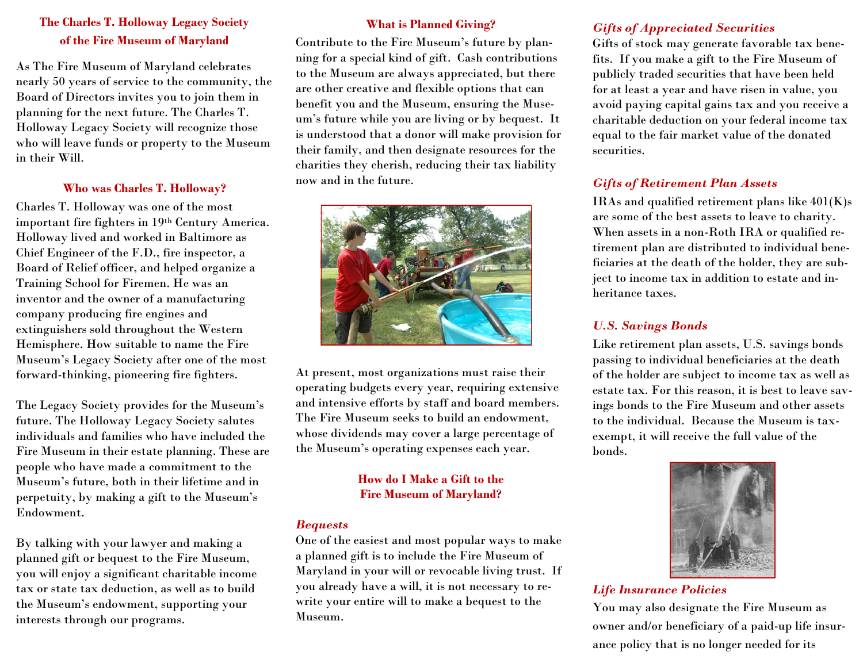# **The Charles T. Holloway Legacy Society of the Fire Museum of Maryland**

As The Fire Museum of Maryland celebrates nearly 50 years of service to the community, the Board of Directors invites you to join them in planning for the next future. The Charles T. Holloway Legacy Society will recognize those who will leave funds or property to the Museum in their Will.

### **Who was Charles T. Holloway?**

Charles T. Holloway was one of the most important fire fighters in 19th Century America. Holloway lived and worked in Baltimore as Chief Engineer of the F.D., fire inspector, a Board of Relief officer, and helped organize a Training School for Firemen. He was an inventor and the owner of a manufacturing company producing fire engines and extinguishers sold throughout the Western Hemisphere. How suitable to name the Fire Museum's Legacy Society after one of the most forward-thinking, pioneering fire fighters.

The Legacy Society provides for the Museum's future. The Holloway Legacy Society salutes individuals and families who have included the Fire Museum in their estate planning. These are people who have made a commitment to the Museum's future, both in their lifetime and in perpetuity, by making a gift to the Museum's Endowment.

By talking with your lawyer and making a planned gift or bequest to the Fire Museum, you will enjoy a significant charitable income tax or state tax deduction, as well as to build the Museum's endowment, supporting your interests through our programs.

### **What is Planned Giving?**

Contribute to the Fire Museum's future by planning for a special kind of gift. Cash contributions to the Museum are always appreciated, but there are other creative and flexible options that can benefit you and the Museum, ensuring the Museum's future while you are living or by bequest. It is understood that a donor will make provision for their family, and then designate resources for the charities they cherish, reducing their tax liability now and in the future.



At present, most organizations must raise their operating budgets every year, requiring extensive and intensive efforts by staff and board members. The Fire Museum seeks to build an endowment, whose dividends may cover a large percentage of the Museum's operating expenses each year.

# **How do I Make a Gift to the Fire Museum of Maryland?**

#### *Bequests*

One of the easiest and most popular ways to make a planned gift is to include the Fire Museum of Maryland in your will or revocable living trust. If you already have a will, it is not necessary to rewrite your entire will to make a bequest to the Museum.

## *Gifts of Appreciated Securities*

Gifts of stock may generate favorable tax benefits. If you make a gift to the Fire Museum of publicly traded securities that have been held for at least a year and have risen in value, you avoid paying capital gains tax and you receive a charitable deduction on your federal income tax equal to the fair market value of the donated securities.

## *Gifts of Retirement Plan Assets*

IRAs and qualified retirement plans like 401(K)s are some of the best assets to leave to charity. When assets in a non-Roth IRA or qualified retirement plan are distributed to individual beneficiaries at the death of the holder, they are subject to income tax in addition to estate and inheritance taxes.

### *U.S. Savings Bonds*

Like retirement plan assets, U.S. savings bonds passing to individual beneficiaries at the death of the holder are subject to income tax as well as estate tax. For this reason, it is best to leave savings bonds to the Fire Museum and other assets to the individual. Because the Museum is taxexempt, it will receive the full value of the bonds.



### *Life Insurance Policies*

You may also designate the Fire Museum as owner and/or beneficiary of a paid-up life insurance policy that is no longer needed for its